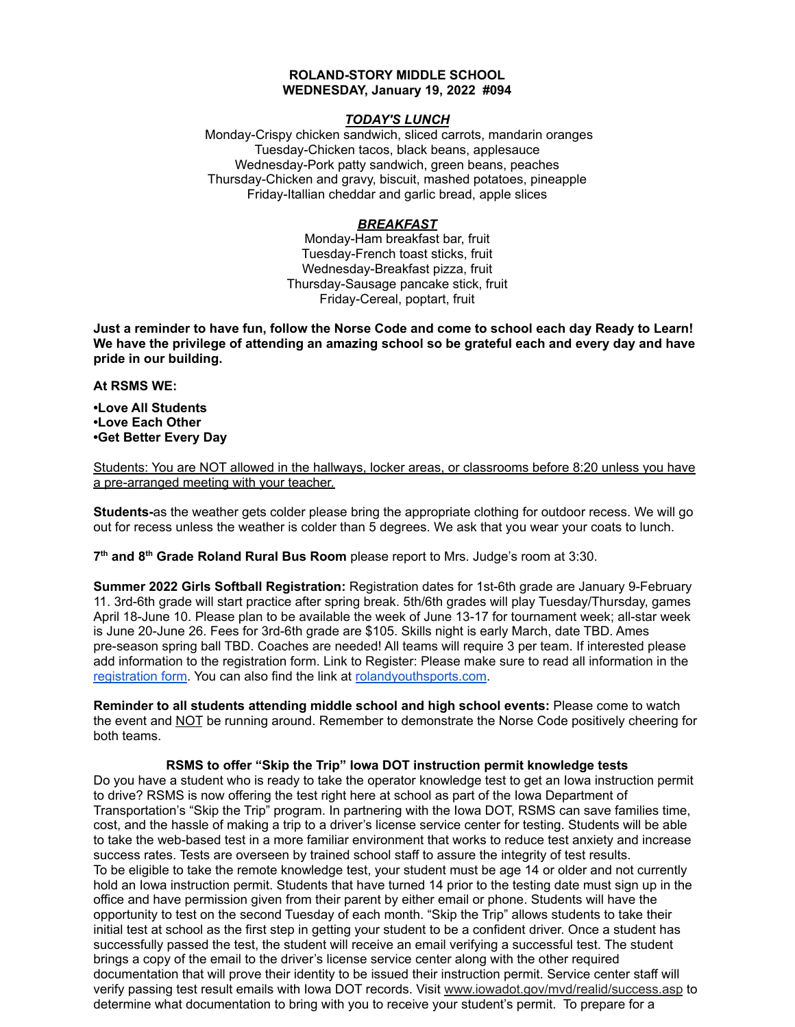## **ROLAND-STORY MIDDLE SCHOOL WEDNESDAY, January 19, 2022 #094**

# *TODAY'S LUNCH*

Monday-Crispy chicken sandwich, sliced carrots, mandarin oranges Tuesday-Chicken tacos, black beans, applesauce Wednesday-Pork patty sandwich, green beans, peaches Thursday-Chicken and gravy, biscuit, mashed potatoes, pineapple Friday-Itallian cheddar and garlic bread, apple slices

# *BREAKFAST*

Monday-Ham breakfast bar, fruit Tuesday-French toast sticks, fruit Wednesday-Breakfast pizza, fruit Thursday-Sausage pancake stick, fruit Friday-Cereal, poptart, fruit

Just a reminder to have fun, follow the Norse Code and come to school each day Ready to Learn! **We have the privilege of attending an amazing school so be grateful each and every day and have pride in our building.**

### **At RSMS WE:**

**•Love All Students •Love Each Other •Get Better Every Day**

Students: You are NOT allowed in the hallways, locker areas, or classrooms before 8:20 unless you have a pre-arranged meeting with your teacher.

**Students-**as the weather gets colder please bring the appropriate clothing for outdoor recess. We will go out for recess unless the weather is colder than 5 degrees. We ask that you wear your coats to lunch.

**7 th and 8 th Grade Roland Rural Bus Room** please report to Mrs. Judge's room at 3:30.

**Summer 2022 Girls Softball Registration:** Registration dates for 1st-6th grade are January 9-February 11. 3rd-6th grade will start practice after spring break. 5th/6th grades will play Tuesday/Thursday, games April 18-June 10. Please plan to be available the week of June 13-17 for tournament week; all-star week is June 20-June 26. Fees for 3rd-6th grade are \$105. Skills night is early March, date TBD. Ames pre-season spring ball TBD. Coaches are needed! All teams will require 3 per team. If interested please add information to the registration form. Link to Register: Please make sure to read all information in th[e](https://rolandyouthsports.com/summer-2022-softball-registration-form/) [registration](https://rolandyouthsports.com/summer-2022-softball-registration-form/) form. You can also find the link at [rolandyouthsports.com](http://rolandyouthsports.com/).

**Reminder to all students attending middle school and high school events:** Please come to watch the event and NOT be running around. Remember to demonstrate the Norse Code positively cheering for both teams.

# **RSMS to offer "Skip the Trip" Iowa DOT instruction permit knowledge tests**

Do you have a student who is ready to take the operator knowledge test to get an Iowa instruction permit to drive? RSMS is now offering the test right here at school as part of the Iowa Department of Transportation's "Skip the Trip" program. In partnering with the Iowa DOT, RSMS can save families time, cost, and the hassle of making a trip to a driver's license service center for testing. Students will be able to take the web-based test in a more familiar environment that works to reduce test anxiety and increase success rates. Tests are overseen by trained school staff to assure the integrity of test results. To be eligible to take the remote knowledge test, your student must be age 14 or older and not currently hold an Iowa instruction permit. Students that have turned 14 prior to the testing date must sign up in the office and have permission given from their parent by either email or phone. Students will have the opportunity to test on the second Tuesday of each month. "Skip the Trip" allows students to take their initial test at school as the first step in getting your student to be a confident driver. Once a student has successfully passed the test, the student will receive an email verifying a successful test. The student brings a copy of the email to the driver's license service center along with the other required documentation that will prove their identity to be issued their instruction permit. Service center staff will verify passing test result emails with Iowa DOT records. Visit [www.iowadot.gov/mvd/realid/success.asp](http://www.iowadot.gov/mvd/realid/success.asp) to determine what documentation to bring with you to receive your student's permit. To prepare for a